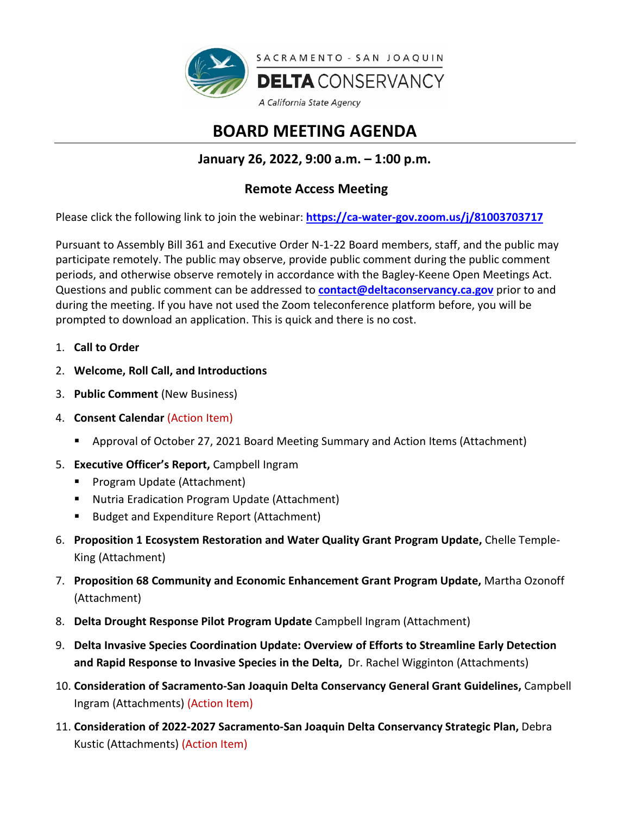

# **BOARD MEETING AGENDA**

## **January 26, 2022, 9:00 a.m. – 1:00 p.m.**

### **Remote Access Meeting**

Please click the following link to join the webinar: **<https://ca-water-gov.zoom.us/j/81003703717>**

Pursuant to Assembly Bill 361 and Executive Order N-1-22 Board members, staff, and the public may participate remotely. The public may observe, provide public comment during the public comment periods, and otherwise observe remotely in accordance with the Bagley-Keene Open Meetings Act. Questions and public comment can be addressed to **[contact@deltaconservancy.ca.gov](mailto:contact@deltaconservancy.ca.gov)** prior to and during the meeting. If you have not used the Zoom teleconference platform before, you will be prompted to download an application. This is quick and there is no cost.

- 1. **Call to Order**
- 2. **Welcome, Roll Call, and Introductions**
- 3. **Public Comment** (New Business)
- 4. **Consent Calendar** (Action Item)
	- Approval of October 27, 2021 Board Meeting Summary and Action Items (Attachment)
- 5. **Executive Officer's Report,** Campbell Ingram
	- **Program Update (Attachment)**
	- Nutria Eradication Program Update (Attachment)
	- Budget and Expenditure Report (Attachment)
- 6. **Proposition 1 Ecosystem Restoration and Water Quality Grant Program Update,** Chelle Temple-King (Attachment)
- 7. **Proposition 68 Community and Economic Enhancement Grant Program Update,** Martha Ozonoff (Attachment)
- 8. **Delta Drought Response Pilot Program Update** Campbell Ingram (Attachment)
- 9. **Delta Invasive Species Coordination Update: Overview of Efforts to Streamline Early Detection and Rapid Response to Invasive Species in the Delta,** Dr. Rachel Wigginton (Attachments)
- 10. **Consideration of Sacramento-San Joaquin Delta Conservancy General Grant Guidelines,** Campbell Ingram (Attachments) (Action Item)
- 11. **Consideration of 2022-2027 Sacramento-San Joaquin Delta Conservancy Strategic Plan,** Debra Kustic (Attachments) (Action Item)